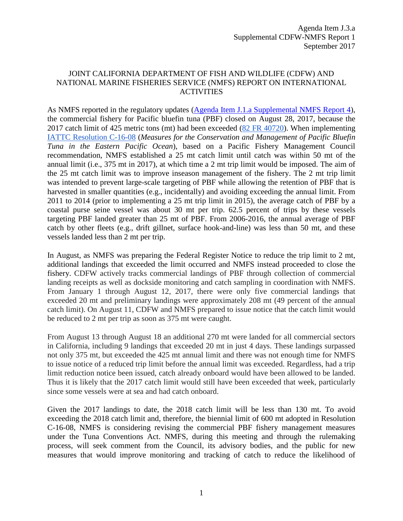## JOINT CALIFORNIA DEPARTMENT OF FISH AND WILDLIFE (CDFW) AND NATIONAL MARINE FISHERIES SERVICE (NMFS) REPORT ON INTERNATIONAL **ACTIVITIES**

As NMFS reported in the regulatory updates [\(Agenda Item J.1.a Supplemental NMFS Report](http://www.pcouncil.org/wp-content/uploads/2017/09/J1a_Sup_NMFS_Rpt4_SEPT2017BB.pdf) 4), the commercial fishery for Pacific bluefin tuna (PBF) closed on August 28, 2017, because the 2017 catch limit of 425 metric tons (mt) had been exceeded [\(82 FR 40720\)](https://www.federalregister.gov/documents/2017/08/28/2017-18157/international-fisheries-pacific-tuna-fisheries-2017-commercial-pacific-bluefin-tuna-fishery-closure). When implementin[g](http://www.iattc.org/PDFFiles2/Resolutions/C-16-08-Conservation-and-management-of-Pacific-bluefin-tuna.pdf) [IATTC Resolution C-16-08](http://www.iattc.org/PDFFiles2/Resolutions/C-16-08-Conservation-and-management-of-Pacific-bluefin-tuna.pdf) (*Measures for the Conservation and Management of Pacific Bluefin Tuna in the Eastern Pacific Ocean*), based on a Pacific Fishery Management Council recommendation, NMFS established a 25 mt catch limit until catch was within 50 mt of the annual limit (i.e., 375 mt in 2017), at which time a 2 mt trip limit would be imposed. The aim of the 25 mt catch limit was to improve inseason management of the fishery. The 2 mt trip limit was intended to prevent large-scale targeting of PBF while allowing the retention of PBF that is harvested in smaller quantities (e.g., incidentally) and avoiding exceeding the annual limit. From 2011 to 2014 (prior to implementing a 25 mt trip limit in 2015), the average catch of PBF by a coastal purse seine vessel was about 30 mt per trip. 62.5 percent of trips by these vessels targeting PBF landed greater than 25 mt of PBF. From 2006-2016, the annual average of PBF catch by other fleets (e.g., drift gillnet, surface hook-and-line) was less than 50 mt, and these vessels landed less than 2 mt per trip.

In August, as NMFS was preparing the Federal Register Notice to reduce the trip limit to 2 mt, additional landings that exceeded the limit occurred and NMFS instead proceeded to close the fishery. CDFW actively tracks commercial landings of PBF through collection of commercial landing receipts as well as dockside monitoring and catch sampling in coordination with NMFS. From January 1 through August 12, 2017, there were only five commercial landings that exceeded 20 mt and preliminary landings were approximately 208 mt (49 percent of the annual catch limit). On August 11, CDFW and NMFS prepared to issue notice that the catch limit would be reduced to 2 mt per trip as soon as 375 mt were caught.

From August 13 through August 18 an additional 270 mt were landed for all commercial sectors in California, including 9 landings that exceeded 20 mt in just 4 days. These landings surpassed not only 375 mt, but exceeded the 425 mt annual limit and there was not enough time for NMFS to issue notice of a reduced trip limit before the annual limit was exceeded. Regardless, had a trip limit reduction notice been issued, catch already onboard would have been allowed to be landed. Thus it is likely that the 2017 catch limit would still have been exceeded that week, particularly since some vessels were at sea and had catch onboard.

Given the 2017 landings to date, the 2018 catch limit will be less than 130 mt. To avoid exceeding the 2018 catch limit and, therefore, the biennial limit of 600 mt adopted in Resolution C-16-08, NMFS is considering revising the commercial PBF fishery management measures under the Tuna Conventions Act. NMFS, during this meeting and through the rulemaking process, will seek comment from the Council, its advisory bodies, and the public for new measures that would improve monitoring and tracking of catch to reduce the likelihood of